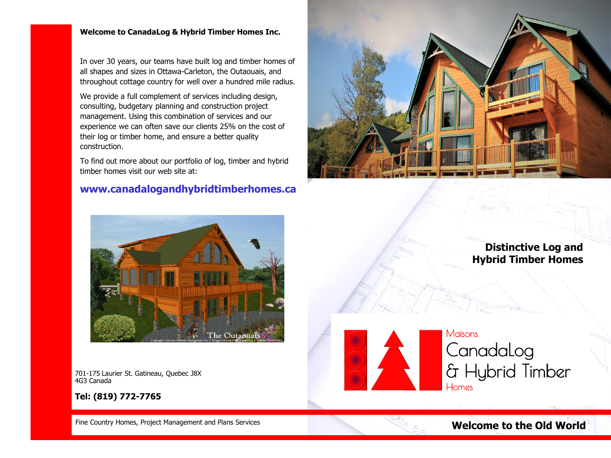## **Welcome to CanadaLog & Hybrid Timber Homes Inc.**

In over 30 years, our teams have built log and timber homes of all shapes and sizes in Ottawa-Carleton, the Outaouais, and throughout cottage country for well over a hundred mile radius.

We provide a full complement of services including design, consulting, budgetary planning and construction project management. Using this combination of services and our experience we can often save our clients 25% on the cost of their log or timber home, and ensure a better quality construction.

To find out more about our portfolio of log, timber and hybrid timber homes visit our web site at:

# **www.canadalogandhybridtimberhomes.ca**





**Distinctive Log and Hybrid Timber Homes**



**Tel: (819) 772-7765**



Maisons Canadalog & Hybrid Timber Homes

Fine Country Homes, Project Management and Plans Services

**Welcome to the Old World**